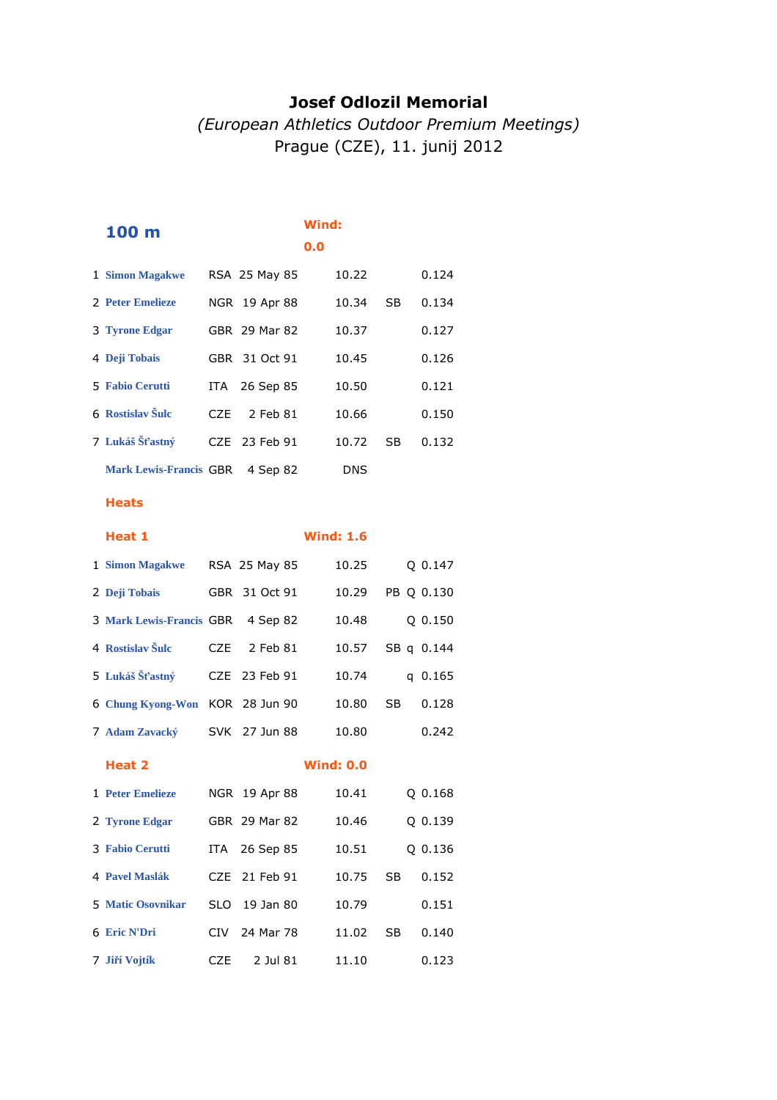### **Josef Odlozil Memorial**

## *(European Athletics Outdoor Premium Meetings)* Prague (CZE), 11. junij 2012

| 100 m                         |      |               | Wind:<br>0.0 |       |    |       |
|-------------------------------|------|---------------|--------------|-------|----|-------|
| 1 Simon Magakwe               |      | RSA 25 May 85 |              | 10.22 |    | 0.124 |
| 2 Peter Emelieze              |      | NGR 19 Apr 88 |              | 10.34 | SB | 0.134 |
| 3 Tyrone Edgar                |      | GBR 29 Mar 82 |              | 10.37 |    | 0.127 |
| 4 Deji Tobais                 |      | GBR 31 Oct 91 |              | 10.45 |    | 0.126 |
| <b>5 Fabio Cerutti</b>        |      | ITA 26 Sep 85 |              | 10.50 |    | 0.121 |
| 6 Rostislav Šulc              | CZE. | 2 Feb 81      |              | 10.66 |    | 0.150 |
| 7 Lukáš Šťastný               |      | CZE 23 Feb 91 |              | 10.72 | SB | 0.132 |
| <b>Mark Lewis-Francis GBR</b> |      | 4 Sep 82      |              | DNS   |    |       |

#### **Heats**

# **Heat 1 Wind: 1.6 Simon Magakwe** RSA 25 May 85 10.25 Q 0.147 **Deji Tobais** GBR 31 Oct 91 10.29 PB Q 0.130 **Mark Lewis-Francis** GBR 4 Sep 82 10.48 Q 0.150 **Rostislav Šulc** CZE 2 Feb 81 10.57 SB q 0.144 **Lukáš Šťastný** CZE 23 Feb 91 10.74 q 0.165 **Chung Kyong-Won** KOR 28 Jun 90 10.80 SB 0.128 **Adam Zavacký** SVK 27 Jun 88 10.80 0.242 **Heat 2 Wind: 0.0 Peter Emelieze** NGR 19 Apr 88 10.41 Q 0.168 **Tyrone Edgar** GBR 29 Mar 82 10.46 Q 0.139 **Fabio Cerutti** ITA 26 Sep 85 10.51 Q 0.136 **Pavel Maslák** CZE 21 Feb 91 10.75 SB 0.152 **Matic Osovnikar** SLO 19 Jan 80 10.79 0.151 **Eric N'Dri** CIV 24 Mar 78 11.02 SB 0.140 **Jiří Vojtík** CZE 2 Jul 81 11.10 0.123